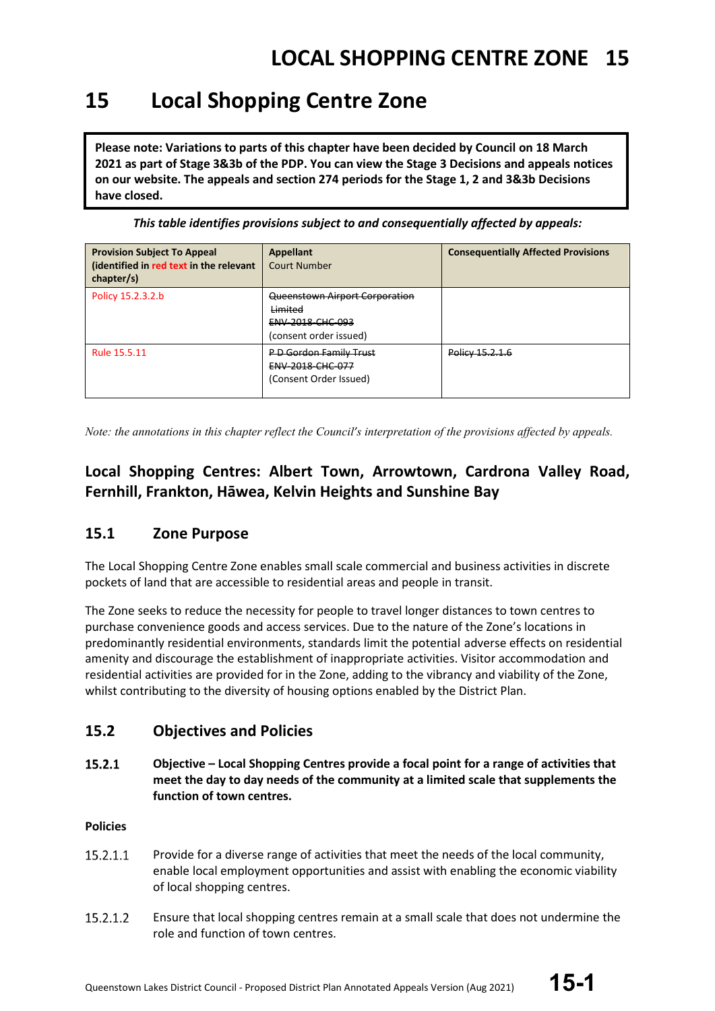### **15 Local Shopping Centre Zone**

**Please note: Variations to parts of this chapter have been decided by Council on 18 March 2021 as part of Stage 3&3b of the PDP. You can view the Stage 3 Decisions and appeals notices on our website. The appeals and section 274 periods for the Stage 1, 2 and 3&3b Decisions have closed.**

*This table identifies provisions subject to and consequentially affected by appeals:*

| <b>Provision Subject To Appeal</b><br>(identified in red text in the relevant<br>chapter/s) | <b>Appellant</b><br><b>Court Number</b>                                                 | <b>Consequentially Affected Provisions</b> |
|---------------------------------------------------------------------------------------------|-----------------------------------------------------------------------------------------|--------------------------------------------|
| Policy 15.2.3.2.b                                                                           | Queenstown Airport Corporation<br>Limited<br>ENV-2018-CHC-093<br>(consent order issued) |                                            |
| Rule 15.5.11                                                                                | P-D-Gordon Family Trust<br><b>ENV 2018 CHC 077</b><br>(Consent Order Issued)            | Policy 15.2.1.6                            |

*Note: the annotations in this chapter reflect the Council's interpretation of the provisions affected by appeals.*

### **Local Shopping Centres: Albert Town, Arrowtown, Cardrona Valley Road, Fernhill, Frankton, Hāwea, Kelvin Heights and Sunshine Bay**

### **15.1 Zone Purpose**

The Local Shopping Centre Zone enables small scale commercial and business activities in discrete pockets of land that are accessible to residential areas and people in transit.

The Zone seeks to reduce the necessity for people to travel longer distances to town centres to purchase convenience goods and access services. Due to the nature of the Zone's locations in predominantly residential environments, standards limit the potential adverse effects on residential amenity and discourage the establishment of inappropriate activities. Visitor accommodation and residential activities are provided for in the Zone, adding to the vibrancy and viability of the Zone, whilst contributing to the diversity of housing options enabled by the District Plan.

### **15.2 Objectives and Policies**

15.2.1 **Objective – Local Shopping Centres provide a focal point for a range of activities that meet the day to day needs of the community at a limited scale that supplements the function of town centres.**

#### **Policies**

- 15.2.1.1 Provide for a diverse range of activities that meet the needs of the local community, enable local employment opportunities and assist with enabling the economic viability of local shopping centres.
- 15.2.1.2 Ensure that local shopping centres remain at a small scale that does not undermine the role and function of town centres.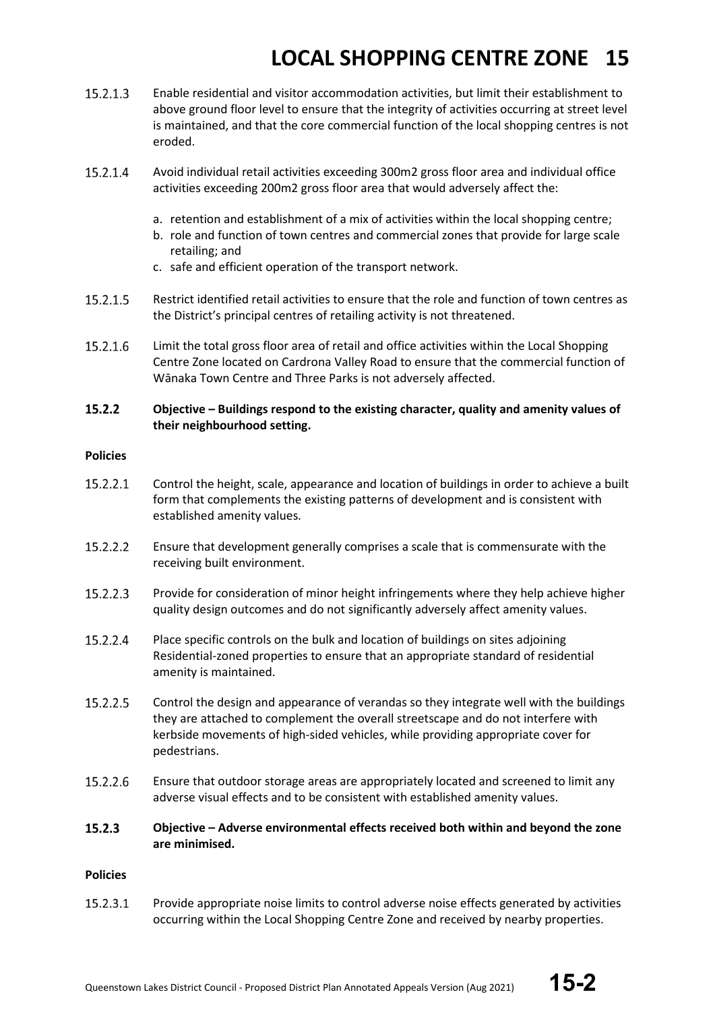- 15.2.1.3 Enable residential and visitor accommodation activities, but limit their establishment to above ground floor level to ensure that the integrity of activities occurring at street level is maintained, and that the core commercial function of the local shopping centres is not eroded.
- $15.2.1.4$ Avoid individual retail activities exceeding 300m2 gross floor area and individual office activities exceeding 200m2 gross floor area that would adversely affect the:
	- a. retention and establishment of a mix of activities within the local shopping centre;
	- b. role and function of town centres and commercial zones that provide for large scale retailing; and
	- c. safe and efficient operation of the transport network.
- 15.2.1.5 Restrict identified retail activities to ensure that the role and function of town centres as the District's principal centres of retailing activity is not threatened.
- 15.2.1.6 Limit the total gross floor area of retail and office activities within the Local Shopping Centre Zone located on Cardrona Valley Road to ensure that the commercial function of Wānaka Town Centre and Three Parks is not adversely affected.

#### $15.2.2$ **Objective – Buildings respond to the existing character, quality and amenity values of their neighbourhood setting.**

#### **Policies**

- 15.2.2.1 Control the height, scale, appearance and location of buildings in order to achieve a built form that complements the existing patterns of development and is consistent with established amenity values.
- 15.2.2.2 Ensure that development generally comprises a scale that is commensurate with the receiving built environment.
- 15.2.2.3 Provide for consideration of minor height infringements where they help achieve higher quality design outcomes and do not significantly adversely affect amenity values.
- 15.2.2.4 Place specific controls on the bulk and location of buildings on sites adjoining Residential-zoned properties to ensure that an appropriate standard of residential amenity is maintained.
- 15.2.2.5 Control the design and appearance of verandas so they integrate well with the buildings they are attached to complement the overall streetscape and do not interfere with kerbside movements of high-sided vehicles, while providing appropriate cover for pedestrians.
- 15.2.2.6 Ensure that outdoor storage areas are appropriately located and screened to limit any adverse visual effects and to be consistent with established amenity values.
- $15.2.3$ **Objective – Adverse environmental effects received both within and beyond the zone are minimised.**

#### **Policies**

15.2.3.1 Provide appropriate noise limits to control adverse noise effects generated by activities occurring within the Local Shopping Centre Zone and received by nearby properties.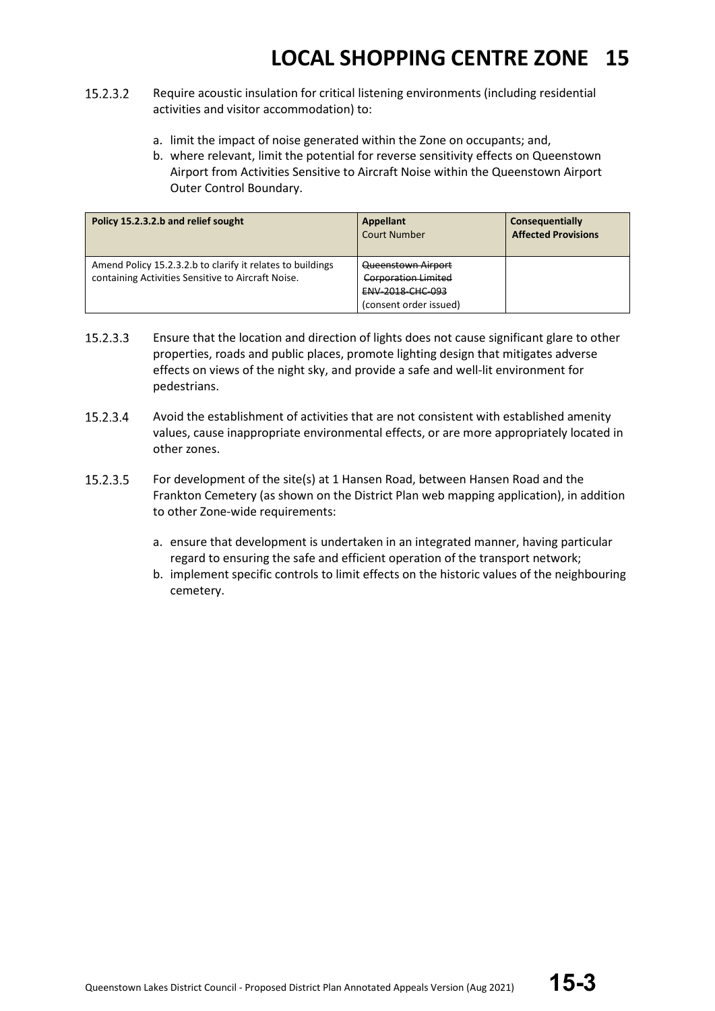- 15.2.3.2 Require acoustic insulation for critical listening environments (including residential activities and visitor accommodation) to:
	- a. limit the impact of noise generated within the Zone on occupants; and,
	- b. where relevant, limit the potential for reverse sensitivity effects on Queenstown Airport from Activities Sensitive to Aircraft Noise within the Queenstown Airport Outer Control Boundary.

| Policy 15.2.3.2.b and relief sought                                                                              | Appellant<br><b>Court Number</b>                                                        | Consequentially<br><b>Affected Provisions</b> |
|------------------------------------------------------------------------------------------------------------------|-----------------------------------------------------------------------------------------|-----------------------------------------------|
| Amend Policy 15.2.3.2.b to clarify it relates to buildings<br>containing Activities Sensitive to Aircraft Noise. | Queenstown Airport<br>Corporation Limited<br>ENV-2018-CHC-093<br>(consent order issued) |                                               |

- 15.2.3.3 Ensure that the location and direction of lights does not cause significant glare to other properties, roads and public places, promote lighting design that mitigates adverse effects on views of the night sky, and provide a safe and well-lit environment for pedestrians.
- 15.2.3.4 Avoid the establishment of activities that are not consistent with established amenity values, cause inappropriate environmental effects, or are more appropriately located in other zones.
- 15.2.3.5 For development of the site(s) at 1 Hansen Road, between Hansen Road and the Frankton Cemetery (as shown on the District Plan web mapping application), in addition to other Zone-wide requirements:
	- a. ensure that development is undertaken in an integrated manner, having particular regard to ensuring the safe and efficient operation of the transport network;
	- b. implement specific controls to limit effects on the historic values of the neighbouring cemetery.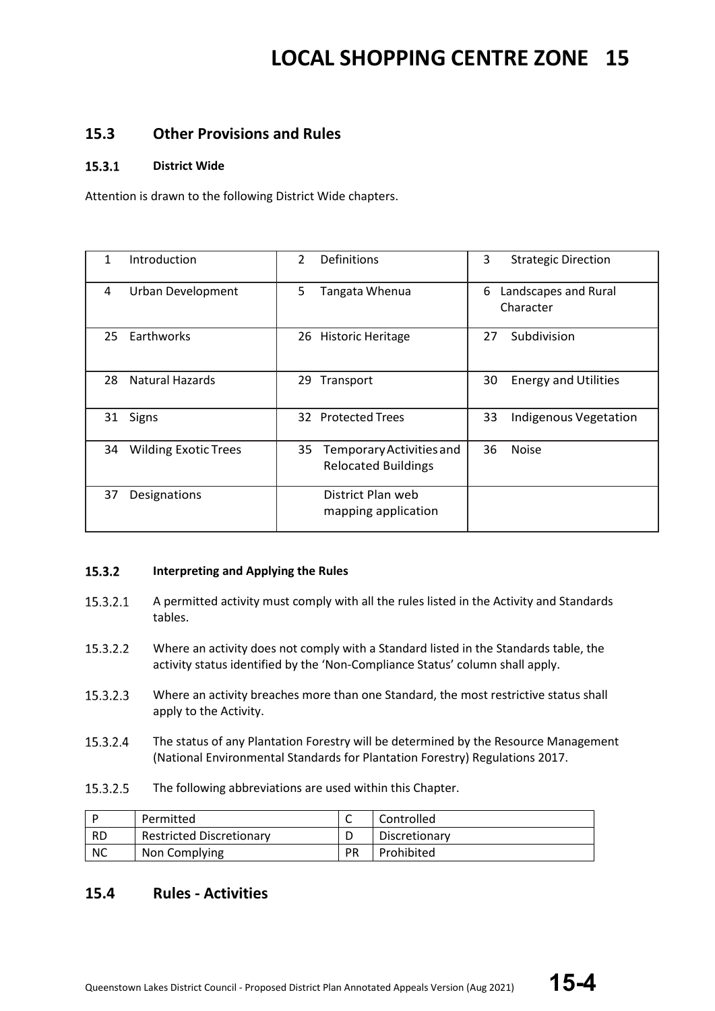#### **15.3 Other Provisions and Rules**

#### $15.3.1$ **District Wide**

Attention is drawn to the following District Wide chapters.

| Introduction                      | 2<br>Definitions                                             | 3<br><b>Strategic Direction</b>        |
|-----------------------------------|--------------------------------------------------------------|----------------------------------------|
| <b>Urban Development</b><br>4     | 5<br>Tangata Whenua                                          | Landscapes and Rural<br>6<br>Character |
| Earthworks<br>25                  | <b>Historic Heritage</b><br>26                               | Subdivision<br>27                      |
| <b>Natural Hazards</b><br>28      | Transport<br>29                                              | 30<br><b>Energy and Utilities</b>      |
| Signs<br>31                       | 32 Protected Trees                                           | 33<br><b>Indigenous Vegetation</b>     |
| <b>Wilding Exotic Trees</b><br>34 | 35<br>Temporary Activities and<br><b>Relocated Buildings</b> | 36<br><b>Noise</b>                     |
| Designations<br>37                | District Plan web<br>mapping application                     |                                        |

#### 15.3.2 **Interpreting and Applying the Rules**

- 15.3.2.1 A permitted activity must comply with all the rules listed in the Activity and Standards tables.
- 15.3.2.2 Where an activity does not comply with a Standard listed in the Standards table, the activity status identified by the 'Non-Compliance Status' column shall apply.
- 15.3.2.3 Where an activity breaches more than one Standard, the most restrictive status shall apply to the Activity.
- The status of any Plantation Forestry will be determined by the Resource Management 15.3.2.4 (National Environmental Standards for Plantation Forestry) Regulations 2017.
- 15.3.2.5 The following abbreviations are used within this Chapter.

|           | Permitted                       | ◡         | Controlled    |
|-----------|---------------------------------|-----------|---------------|
| <b>RD</b> | <b>Restricted Discretionary</b> |           | Discretionary |
| <b>NC</b> | Non Complying                   | <b>PR</b> | Prohibited    |

#### **15.4 Rules - Activities**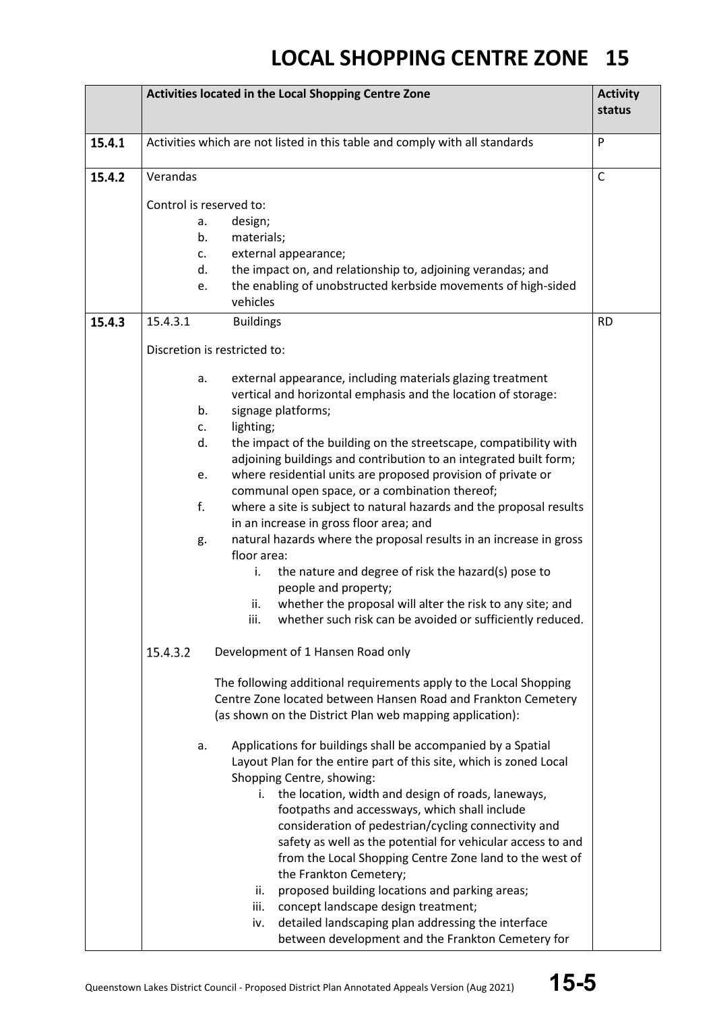|        | Activities located in the Local Shopping Centre Zone                                                                                                                                                                                                                                     |              |
|--------|------------------------------------------------------------------------------------------------------------------------------------------------------------------------------------------------------------------------------------------------------------------------------------------|--------------|
| 15.4.1 | Activities which are not listed in this table and comply with all standards                                                                                                                                                                                                              | P            |
| 15.4.2 | Verandas                                                                                                                                                                                                                                                                                 | $\mathsf{C}$ |
|        | Control is reserved to:                                                                                                                                                                                                                                                                  |              |
|        | design;<br>a.                                                                                                                                                                                                                                                                            |              |
|        | b.<br>materials;                                                                                                                                                                                                                                                                         |              |
|        | external appearance;<br>C.                                                                                                                                                                                                                                                               |              |
|        | the impact on, and relationship to, adjoining verandas; and<br>d.                                                                                                                                                                                                                        |              |
|        | the enabling of unobstructed kerbside movements of high-sided<br>e.<br>vehicles                                                                                                                                                                                                          |              |
| 15.4.3 | 15.4.3.1<br><b>Buildings</b>                                                                                                                                                                                                                                                             | <b>RD</b>    |
|        | Discretion is restricted to:                                                                                                                                                                                                                                                             |              |
|        | external appearance, including materials glazing treatment<br>а.<br>vertical and horizontal emphasis and the location of storage:<br>signage platforms;<br>b.                                                                                                                            |              |
|        | lighting;<br>$C_{\star}$                                                                                                                                                                                                                                                                 |              |
|        | d.<br>the impact of the building on the streetscape, compatibility with                                                                                                                                                                                                                  |              |
|        | adjoining buildings and contribution to an integrated built form;                                                                                                                                                                                                                        |              |
|        | where residential units are proposed provision of private or<br>e.                                                                                                                                                                                                                       |              |
|        | communal open space, or a combination thereof;                                                                                                                                                                                                                                           |              |
|        | f.<br>where a site is subject to natural hazards and the proposal results                                                                                                                                                                                                                |              |
|        | in an increase in gross floor area; and                                                                                                                                                                                                                                                  |              |
|        | natural hazards where the proposal results in an increase in gross<br>g.<br>floor area:                                                                                                                                                                                                  |              |
|        | the nature and degree of risk the hazard(s) pose to<br>i.<br>people and property;                                                                                                                                                                                                        |              |
|        | whether the proposal will alter the risk to any site; and<br>ii.                                                                                                                                                                                                                         |              |
|        | whether such risk can be avoided or sufficiently reduced.<br>iii.                                                                                                                                                                                                                        |              |
|        | 15.4.3.2<br>Development of 1 Hansen Road only                                                                                                                                                                                                                                            |              |
|        | The following additional requirements apply to the Local Shopping<br>Centre Zone located between Hansen Road and Frankton Cemetery<br>(as shown on the District Plan web mapping application):                                                                                           |              |
|        | Applications for buildings shall be accompanied by a Spatial<br>а.<br>Layout Plan for the entire part of this site, which is zoned Local<br>Shopping Centre, showing:                                                                                                                    |              |
|        | i. the location, width and design of roads, laneways,<br>footpaths and accessways, which shall include<br>consideration of pedestrian/cycling connectivity and<br>safety as well as the potential for vehicular access to and<br>from the Local Shopping Centre Zone land to the west of |              |
|        | the Frankton Cemetery;<br>proposed building locations and parking areas;<br>ii.<br>concept landscape design treatment;<br>iii.<br>detailed landscaping plan addressing the interface<br>iv.<br>between development and the Frankton Cemetery for                                         |              |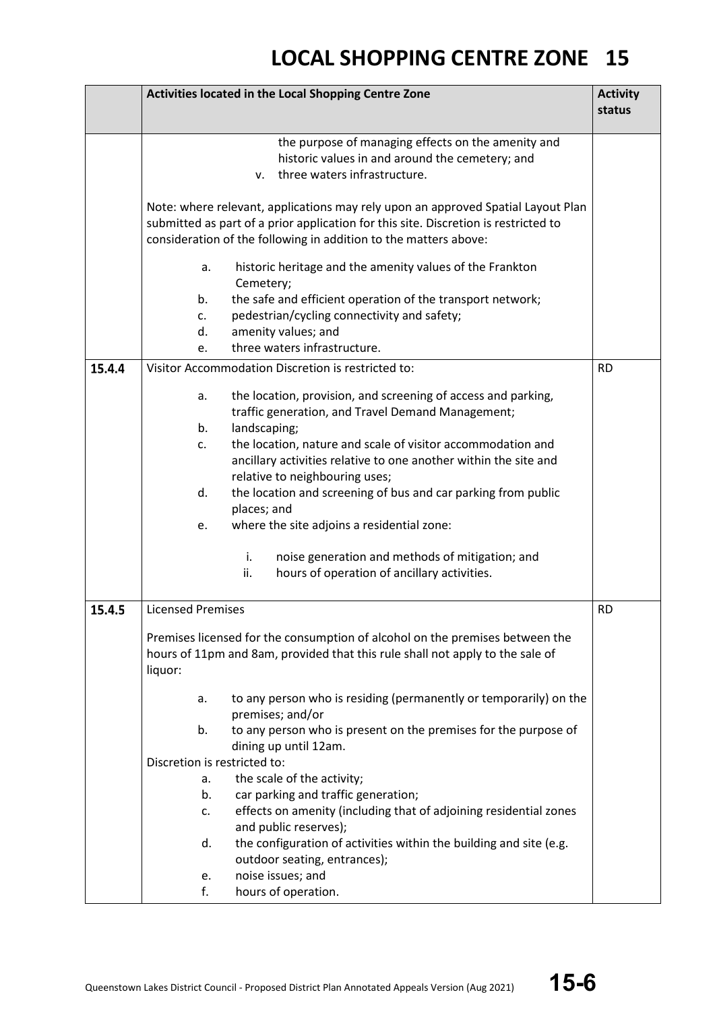|        | Activities located in the Local Shopping Centre Zone                                                                                                                                                                                                                                                                                                                                                                                                                                                                                                                                                           | <b>Activity</b><br>status |
|--------|----------------------------------------------------------------------------------------------------------------------------------------------------------------------------------------------------------------------------------------------------------------------------------------------------------------------------------------------------------------------------------------------------------------------------------------------------------------------------------------------------------------------------------------------------------------------------------------------------------------|---------------------------|
|        | the purpose of managing effects on the amenity and<br>historic values in and around the cemetery; and<br>three waters infrastructure.<br>V.                                                                                                                                                                                                                                                                                                                                                                                                                                                                    |                           |
|        | Note: where relevant, applications may rely upon an approved Spatial Layout Plan<br>submitted as part of a prior application for this site. Discretion is restricted to<br>consideration of the following in addition to the matters above:                                                                                                                                                                                                                                                                                                                                                                    |                           |
|        | historic heritage and the amenity values of the Frankton<br>a.<br>Cemetery;                                                                                                                                                                                                                                                                                                                                                                                                                                                                                                                                    |                           |
|        | the safe and efficient operation of the transport network;<br>b.<br>pedestrian/cycling connectivity and safety;<br>c.<br>amenity values; and<br>d.<br>three waters infrastructure.<br>e.                                                                                                                                                                                                                                                                                                                                                                                                                       |                           |
| 15.4.4 | Visitor Accommodation Discretion is restricted to:                                                                                                                                                                                                                                                                                                                                                                                                                                                                                                                                                             | <b>RD</b>                 |
| 15.4.5 | the location, provision, and screening of access and parking,<br>a.<br>traffic generation, and Travel Demand Management;<br>landscaping;<br>b.<br>the location, nature and scale of visitor accommodation and<br>c.<br>ancillary activities relative to one another within the site and<br>relative to neighbouring uses;<br>d.<br>the location and screening of bus and car parking from public<br>places; and<br>where the site adjoins a residential zone:<br>e.<br>i.<br>noise generation and methods of mitigation; and<br>ii.<br>hours of operation of ancillary activities.<br><b>Licensed Premises</b> | <b>RD</b>                 |
|        | Premises licensed for the consumption of alcohol on the premises between the<br>hours of 11pm and 8am, provided that this rule shall not apply to the sale of<br>liquor:                                                                                                                                                                                                                                                                                                                                                                                                                                       |                           |
|        | to any person who is residing (permanently or temporarily) on the<br>a.<br>premises; and/or<br>to any person who is present on the premises for the purpose of<br>b.                                                                                                                                                                                                                                                                                                                                                                                                                                           |                           |
|        | dining up until 12am.<br>Discretion is restricted to:                                                                                                                                                                                                                                                                                                                                                                                                                                                                                                                                                          |                           |
|        | the scale of the activity;<br>a.                                                                                                                                                                                                                                                                                                                                                                                                                                                                                                                                                                               |                           |
|        | car parking and traffic generation;<br>b.<br>effects on amenity (including that of adjoining residential zones<br>c.<br>and public reserves);                                                                                                                                                                                                                                                                                                                                                                                                                                                                  |                           |
|        | the configuration of activities within the building and site (e.g.<br>d.<br>outdoor seating, entrances);                                                                                                                                                                                                                                                                                                                                                                                                                                                                                                       |                           |
|        | noise issues; and<br>e.<br>hours of operation.<br>f.                                                                                                                                                                                                                                                                                                                                                                                                                                                                                                                                                           |                           |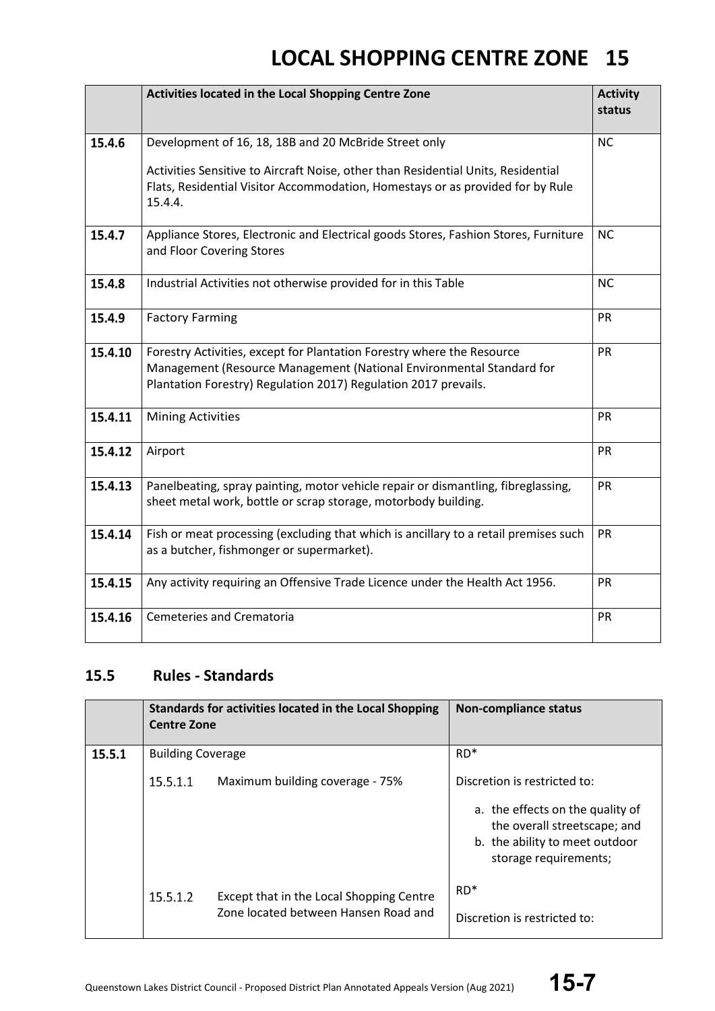|         | Activities located in the Local Shopping Centre Zone                                                                                                                                                              | <b>Activity</b><br>status |
|---------|-------------------------------------------------------------------------------------------------------------------------------------------------------------------------------------------------------------------|---------------------------|
| 15.4.6  | Development of 16, 18, 18B and 20 McBride Street only                                                                                                                                                             | <b>NC</b>                 |
|         | Activities Sensitive to Aircraft Noise, other than Residential Units, Residential<br>Flats, Residential Visitor Accommodation, Homestays or as provided for by Rule<br>15.4.4.                                    |                           |
| 15.4.7  | Appliance Stores, Electronic and Electrical goods Stores, Fashion Stores, Furniture<br>and Floor Covering Stores                                                                                                  | <b>NC</b>                 |
| 15.4.8  | Industrial Activities not otherwise provided for in this Table                                                                                                                                                    | <b>NC</b>                 |
| 15.4.9  | <b>Factory Farming</b>                                                                                                                                                                                            | <b>PR</b>                 |
| 15.4.10 | Forestry Activities, except for Plantation Forestry where the Resource<br>Management (Resource Management (National Environmental Standard for<br>Plantation Forestry) Regulation 2017) Regulation 2017 prevails. | <b>PR</b>                 |
| 15.4.11 | <b>Mining Activities</b>                                                                                                                                                                                          | PR                        |
| 15.4.12 | Airport                                                                                                                                                                                                           | <b>PR</b>                 |
| 15.4.13 | Panelbeating, spray painting, motor vehicle repair or dismantling, fibreglassing,<br>sheet metal work, bottle or scrap storage, motorbody building.                                                               | <b>PR</b>                 |
| 15.4.14 | Fish or meat processing (excluding that which is ancillary to a retail premises such<br>as a butcher, fishmonger or supermarket).                                                                                 | PR                        |
| 15.4.15 | Any activity requiring an Offensive Trade Licence under the Health Act 1956.                                                                                                                                      | <b>PR</b>                 |
| 15.4.16 | <b>Cemeteries and Crematoria</b>                                                                                                                                                                                  | PR                        |

### **15.5 Rules - Standards**

|        | Standards for activities located in the Local Shopping<br><b>Centre Zone</b> |                                                                                  | <b>Non-compliance status</b>                                                                                                |
|--------|------------------------------------------------------------------------------|----------------------------------------------------------------------------------|-----------------------------------------------------------------------------------------------------------------------------|
| 15.5.1 | <b>Building Coverage</b>                                                     |                                                                                  | $RD*$                                                                                                                       |
|        | 15.5.1.1                                                                     | Maximum building coverage - 75%                                                  | Discretion is restricted to:                                                                                                |
|        |                                                                              |                                                                                  | a. the effects on the quality of<br>the overall streetscape; and<br>b. the ability to meet outdoor<br>storage requirements; |
|        | 15.5.1.2                                                                     | Except that in the Local Shopping Centre<br>Zone located between Hansen Road and | $RD*$<br>Discretion is restricted to:                                                                                       |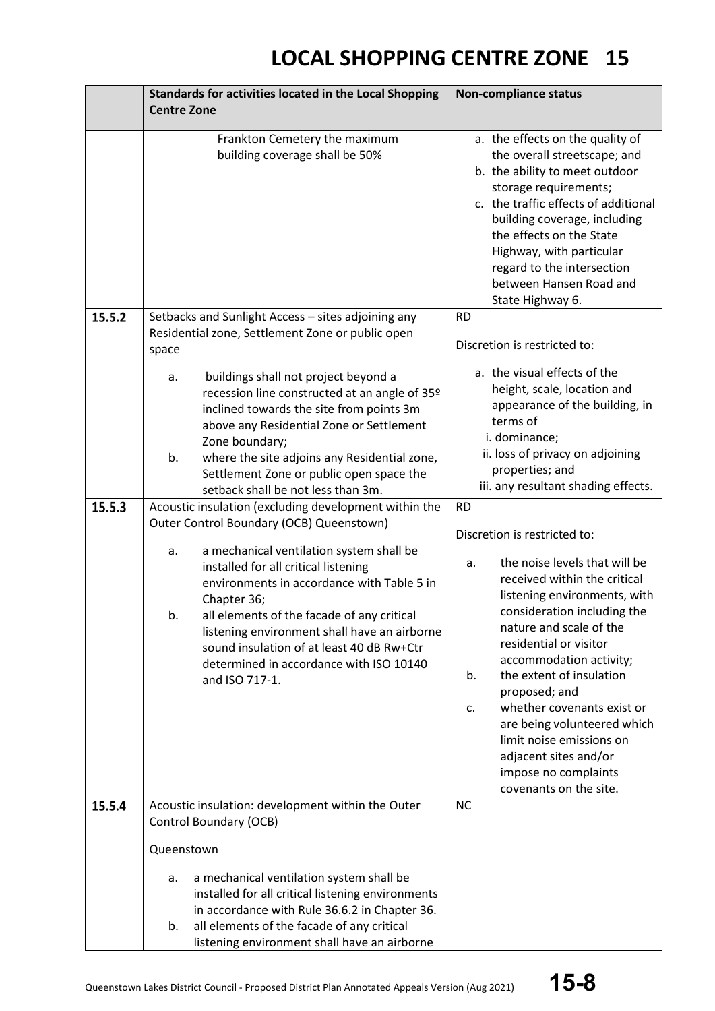|        | Standards for activities located in the Local Shopping                                                                                                                                                                                                                                                                                                                                                        | <b>Non-compliance status</b>                                                                                                                                                                                                                                                                                                                                                                                                                                                    |  |
|--------|---------------------------------------------------------------------------------------------------------------------------------------------------------------------------------------------------------------------------------------------------------------------------------------------------------------------------------------------------------------------------------------------------------------|---------------------------------------------------------------------------------------------------------------------------------------------------------------------------------------------------------------------------------------------------------------------------------------------------------------------------------------------------------------------------------------------------------------------------------------------------------------------------------|--|
|        | <b>Centre Zone</b>                                                                                                                                                                                                                                                                                                                                                                                            |                                                                                                                                                                                                                                                                                                                                                                                                                                                                                 |  |
|        | Frankton Cemetery the maximum<br>building coverage shall be 50%                                                                                                                                                                                                                                                                                                                                               | a. the effects on the quality of<br>the overall streetscape; and<br>b. the ability to meet outdoor<br>storage requirements;<br>c. the traffic effects of additional<br>building coverage, including<br>the effects on the State<br>Highway, with particular<br>regard to the intersection<br>between Hansen Road and<br>State Highway 6.                                                                                                                                        |  |
| 15.5.2 | Setbacks and Sunlight Access - sites adjoining any                                                                                                                                                                                                                                                                                                                                                            | <b>RD</b>                                                                                                                                                                                                                                                                                                                                                                                                                                                                       |  |
|        | Residential zone, Settlement Zone or public open                                                                                                                                                                                                                                                                                                                                                              | Discretion is restricted to:                                                                                                                                                                                                                                                                                                                                                                                                                                                    |  |
|        | space<br>buildings shall not project beyond a<br>a.<br>recession line constructed at an angle of 35 <sup>o</sup><br>inclined towards the site from points 3m<br>above any Residential Zone or Settlement<br>Zone boundary;<br>b.<br>where the site adjoins any Residential zone,<br>Settlement Zone or public open space the<br>setback shall be not less than 3m.                                            | a. the visual effects of the<br>height, scale, location and<br>appearance of the building, in<br>terms of<br>i. dominance;<br>ii. loss of privacy on adjoining<br>properties; and<br>iii. any resultant shading effects.                                                                                                                                                                                                                                                        |  |
| 15.5.3 | Acoustic insulation (excluding development within the                                                                                                                                                                                                                                                                                                                                                         | <b>RD</b>                                                                                                                                                                                                                                                                                                                                                                                                                                                                       |  |
|        | Outer Control Boundary (OCB) Queenstown)<br>a mechanical ventilation system shall be<br>a.<br>installed for all critical listening<br>environments in accordance with Table 5 in<br>Chapter 36;<br>b.<br>all elements of the facade of any critical<br>listening environment shall have an airborne<br>sound insulation of at least 40 dB Rw+Ctr<br>determined in accordance with ISO 10140<br>and ISO 717-1. | Discretion is restricted to:<br>the noise levels that will be<br>a.<br>received within the critical<br>listening environments, with<br>consideration including the<br>nature and scale of the<br>residential or visitor<br>accommodation activity;<br>the extent of insulation<br>b.<br>proposed; and<br>whether covenants exist or<br>c.<br>are being volunteered which<br>limit noise emissions on<br>adjacent sites and/or<br>impose no complaints<br>covenants on the site. |  |
| 15.5.4 | Acoustic insulation: development within the Outer<br>Control Boundary (OCB)                                                                                                                                                                                                                                                                                                                                   | <b>NC</b>                                                                                                                                                                                                                                                                                                                                                                                                                                                                       |  |
|        | Queenstown                                                                                                                                                                                                                                                                                                                                                                                                    |                                                                                                                                                                                                                                                                                                                                                                                                                                                                                 |  |
|        | a mechanical ventilation system shall be<br>a.<br>installed for all critical listening environments<br>in accordance with Rule 36.6.2 in Chapter 36.<br>all elements of the facade of any critical<br>b.<br>listening environment shall have an airborne                                                                                                                                                      |                                                                                                                                                                                                                                                                                                                                                                                                                                                                                 |  |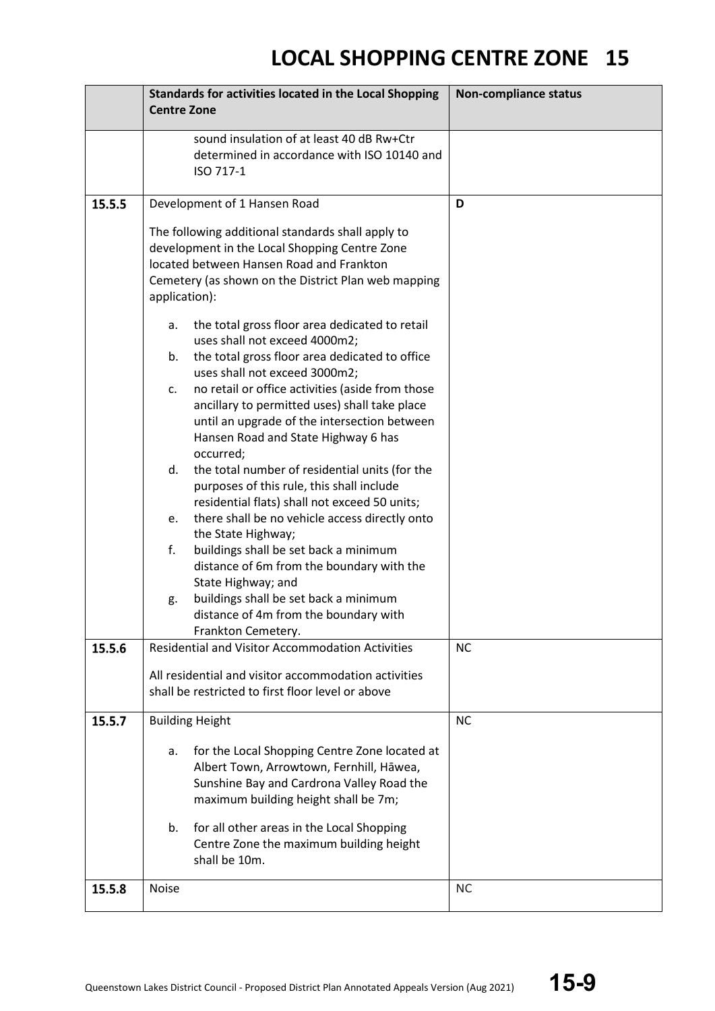|        | Standards for activities located in the Local Shopping<br><b>Centre Zone</b>                                                                                                                                                                                                   | <b>Non-compliance status</b> |
|--------|--------------------------------------------------------------------------------------------------------------------------------------------------------------------------------------------------------------------------------------------------------------------------------|------------------------------|
|        | sound insulation of at least 40 dB Rw+Ctr<br>determined in accordance with ISO 10140 and<br>ISO 717-1                                                                                                                                                                          |                              |
| 15.5.5 | Development of 1 Hansen Road                                                                                                                                                                                                                                                   | D                            |
|        | The following additional standards shall apply to<br>development in the Local Shopping Centre Zone<br>located between Hansen Road and Frankton<br>Cemetery (as shown on the District Plan web mapping<br>application):<br>the total gross floor area dedicated to retail<br>а. |                              |
|        | uses shall not exceed 4000m2;<br>the total gross floor area dedicated to office<br>b.<br>uses shall not exceed 3000m2;                                                                                                                                                         |                              |
|        | no retail or office activities (aside from those<br>C.<br>ancillary to permitted uses) shall take place<br>until an upgrade of the intersection between<br>Hansen Road and State Highway 6 has<br>occurred;                                                                    |                              |
|        | the total number of residential units (for the<br>d.<br>purposes of this rule, this shall include<br>residential flats) shall not exceed 50 units;                                                                                                                             |                              |
|        | there shall be no vehicle access directly onto<br>e.<br>the State Highway;<br>f.<br>buildings shall be set back a minimum<br>distance of 6m from the boundary with the<br>State Highway; and                                                                                   |                              |
|        | buildings shall be set back a minimum<br>g.<br>distance of 4m from the boundary with<br>Frankton Cemetery.                                                                                                                                                                     |                              |
| 15.5.6 | <b>Residential and Visitor Accommodation Activities</b>                                                                                                                                                                                                                        | <b>NC</b>                    |
|        | All residential and visitor accommodation activities<br>shall be restricted to first floor level or above                                                                                                                                                                      |                              |
| 15.5.7 | <b>Building Height</b>                                                                                                                                                                                                                                                         | <b>NC</b>                    |
|        | for the Local Shopping Centre Zone located at<br>a.<br>Albert Town, Arrowtown, Fernhill, Hāwea,<br>Sunshine Bay and Cardrona Valley Road the<br>maximum building height shall be 7m;                                                                                           |                              |
|        | for all other areas in the Local Shopping<br>b.<br>Centre Zone the maximum building height<br>shall be 10m.                                                                                                                                                                    |                              |
| 15.5.8 | <b>Noise</b>                                                                                                                                                                                                                                                                   | <b>NC</b>                    |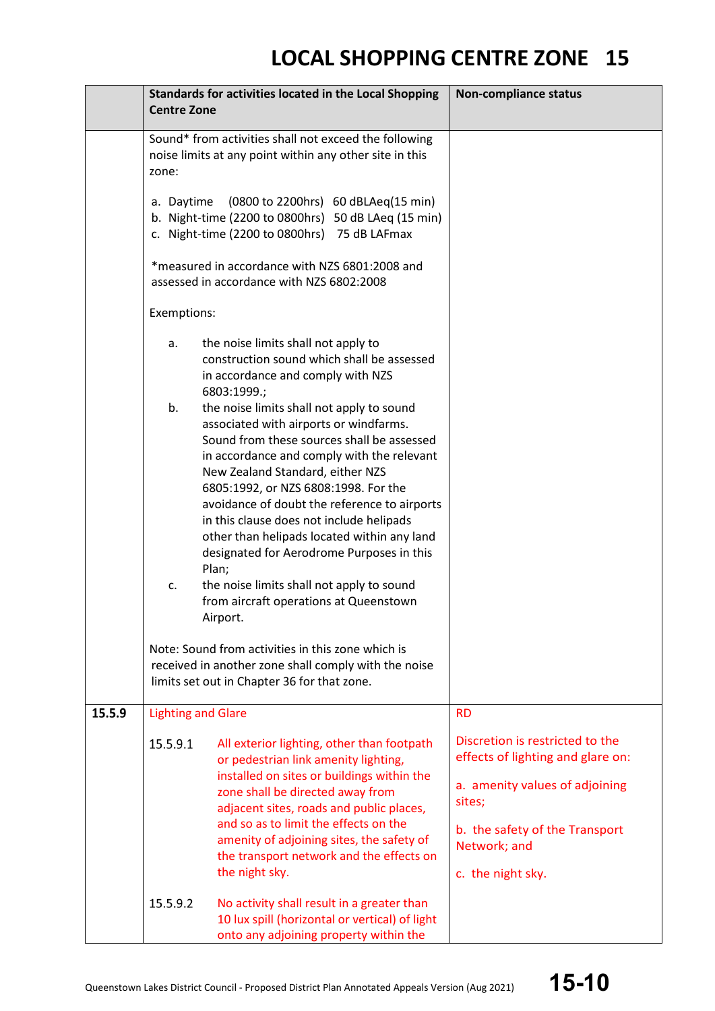|        | <b>Centre Zone</b>                                                                                                                                       | Standards for activities located in the Local Shopping                                                                                                                                                                                                                                                                                                                                                                                                                                           | <b>Non-compliance status</b>                                                                                                                                                            |
|--------|----------------------------------------------------------------------------------------------------------------------------------------------------------|--------------------------------------------------------------------------------------------------------------------------------------------------------------------------------------------------------------------------------------------------------------------------------------------------------------------------------------------------------------------------------------------------------------------------------------------------------------------------------------------------|-----------------------------------------------------------------------------------------------------------------------------------------------------------------------------------------|
|        | Sound* from activities shall not exceed the following<br>noise limits at any point within any other site in this<br>zone:                                |                                                                                                                                                                                                                                                                                                                                                                                                                                                                                                  |                                                                                                                                                                                         |
|        | a. Daytime<br>(0800 to 2200hrs) 60 dBLAeq(15 min)<br>b. Night-time (2200 to 0800hrs) 50 dB LAeq (15 min)<br>c. Night-time (2200 to 0800hrs) 75 dB LAFmax |                                                                                                                                                                                                                                                                                                                                                                                                                                                                                                  |                                                                                                                                                                                         |
|        | *measured in accordance with NZS 6801:2008 and<br>assessed in accordance with NZS 6802:2008                                                              |                                                                                                                                                                                                                                                                                                                                                                                                                                                                                                  |                                                                                                                                                                                         |
|        | Exemptions:                                                                                                                                              |                                                                                                                                                                                                                                                                                                                                                                                                                                                                                                  |                                                                                                                                                                                         |
|        | a.<br>b.                                                                                                                                                 | the noise limits shall not apply to<br>construction sound which shall be assessed<br>in accordance and comply with NZS<br>6803:1999.;<br>the noise limits shall not apply to sound<br>associated with airports or windfarms.<br>Sound from these sources shall be assessed<br>in accordance and comply with the relevant<br>New Zealand Standard, either NZS<br>6805:1992, or NZS 6808:1998. For the<br>avoidance of doubt the reference to airports<br>in this clause does not include helipads |                                                                                                                                                                                         |
|        | c.                                                                                                                                                       | other than helipads located within any land<br>designated for Aerodrome Purposes in this<br>Plan;<br>the noise limits shall not apply to sound<br>from aircraft operations at Queenstown<br>Airport.<br>Note: Sound from activities in this zone which is<br>received in another zone shall comply with the noise                                                                                                                                                                                |                                                                                                                                                                                         |
|        |                                                                                                                                                          | limits set out in Chapter 36 for that zone.                                                                                                                                                                                                                                                                                                                                                                                                                                                      |                                                                                                                                                                                         |
| 15.5.9 | <b>Lighting and Glare</b>                                                                                                                                |                                                                                                                                                                                                                                                                                                                                                                                                                                                                                                  | <b>RD</b>                                                                                                                                                                               |
|        | 15.5.9.1                                                                                                                                                 | All exterior lighting, other than footpath<br>or pedestrian link amenity lighting,<br>installed on sites or buildings within the<br>zone shall be directed away from<br>adjacent sites, roads and public places,<br>and so as to limit the effects on the<br>amenity of adjoining sites, the safety of<br>the transport network and the effects on<br>the night sky.                                                                                                                             | Discretion is restricted to the<br>effects of lighting and glare on:<br>a. amenity values of adjoining<br>sites;<br>b. the safety of the Transport<br>Network; and<br>c. the night sky. |
|        | 15.5.9.2                                                                                                                                                 | No activity shall result in a greater than<br>10 lux spill (horizontal or vertical) of light<br>onto any adjoining property within the                                                                                                                                                                                                                                                                                                                                                           |                                                                                                                                                                                         |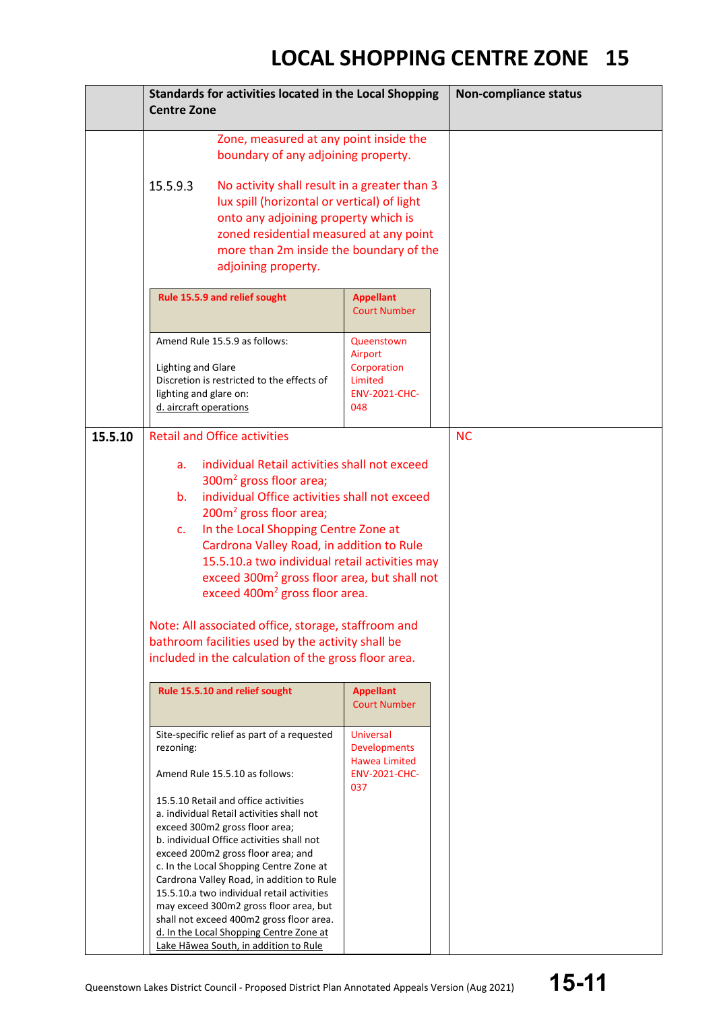|         | Standards for activities located in the Local Shopping<br><b>Centre Zone</b>                                                                                                                                                                                                                                                                                                                                                                                                                                                                                                                                                                                           | <b>Non-compliance status</b>                                                                   |           |
|---------|------------------------------------------------------------------------------------------------------------------------------------------------------------------------------------------------------------------------------------------------------------------------------------------------------------------------------------------------------------------------------------------------------------------------------------------------------------------------------------------------------------------------------------------------------------------------------------------------------------------------------------------------------------------------|------------------------------------------------------------------------------------------------|-----------|
|         | Zone, measured at any point inside the<br>boundary of any adjoining property.<br>15.5.9.3<br>No activity shall result in a greater than 3<br>lux spill (horizontal or vertical) of light<br>onto any adjoining property which is<br>zoned residential measured at any point<br>more than 2m inside the boundary of the<br>adjoining property.                                                                                                                                                                                                                                                                                                                          |                                                                                                |           |
|         | Rule 15.5.9 and relief sought<br><b>Appellant</b><br><b>Court Number</b>                                                                                                                                                                                                                                                                                                                                                                                                                                                                                                                                                                                               |                                                                                                |           |
|         | Amend Rule 15.5.9 as follows:<br><b>Lighting and Glare</b><br>Discretion is restricted to the effects of<br>lighting and glare on:<br>d. aircraft operations                                                                                                                                                                                                                                                                                                                                                                                                                                                                                                           | Queenstown<br>Airport<br>Corporation<br>Limited<br><b>ENV-2021-CHC-</b><br>048                 |           |
| 15.5.10 | <b>Retail and Office activities</b><br>individual Retail activities shall not exceed<br>a.<br>300m <sup>2</sup> gross floor area;<br>individual Office activities shall not exceed<br>b.<br>200m <sup>2</sup> gross floor area;<br>In the Local Shopping Centre Zone at<br>$\mathsf{C}$ .<br>Cardrona Valley Road, in addition to Rule<br>15.5.10.a two individual retail activities may<br>exceed 300m <sup>2</sup> gross floor area, but shall not<br>exceed 400m <sup>2</sup> gross floor area.<br>Note: All associated office, storage, staffroom and<br>bathroom facilities used by the activity shall be<br>included in the calculation of the gross floor area. |                                                                                                | <b>NC</b> |
|         | Rule 15.5.10 and relief sought                                                                                                                                                                                                                                                                                                                                                                                                                                                                                                                                                                                                                                         | <b>Appellant</b><br><b>Court Number</b>                                                        |           |
|         | Site-specific relief as part of a requested<br>rezoning:<br>Amend Rule 15.5.10 as follows:<br>15.5.10 Retail and office activities<br>a. individual Retail activities shall not<br>exceed 300m2 gross floor area;<br>b. individual Office activities shall not<br>exceed 200m2 gross floor area; and<br>c. In the Local Shopping Centre Zone at<br>Cardrona Valley Road, in addition to Rule<br>15.5.10.a two individual retail activities<br>may exceed 300m2 gross floor area, but<br>shall not exceed 400m2 gross floor area.<br>d. In the Local Shopping Centre Zone at<br>Lake Hāwea South, in addition to Rule                                                   | <b>Universal</b><br><b>Developments</b><br><b>Hawea Limited</b><br><b>ENV-2021-CHC-</b><br>037 |           |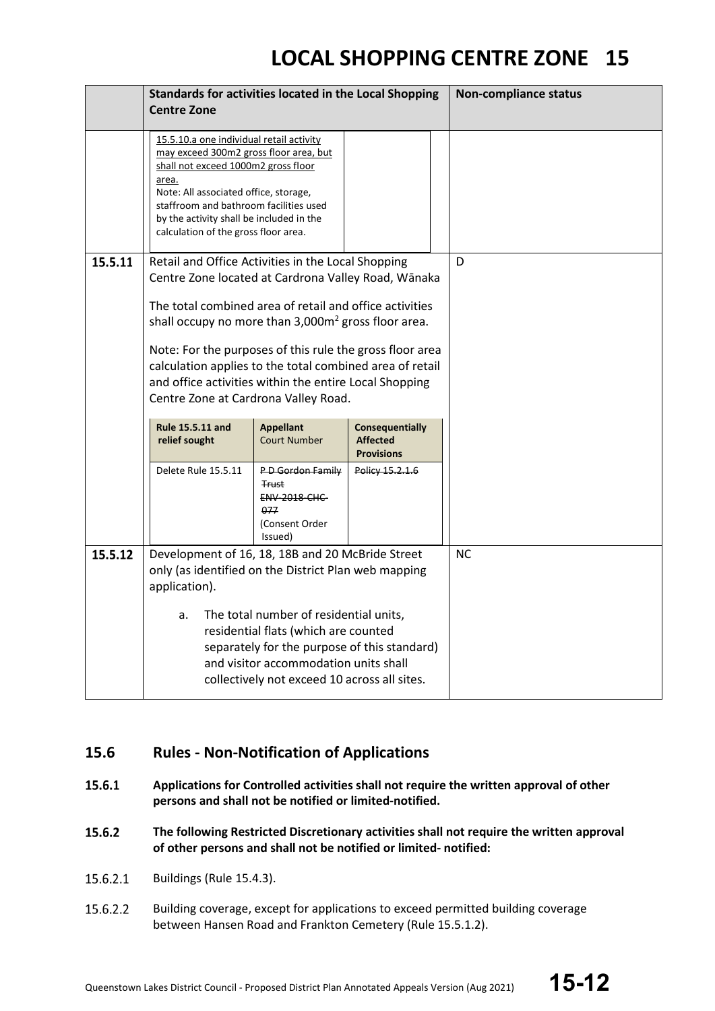|         | Standards for activities located in the Local Shopping                                                                                                                                                                                                                                                    |                                                                                             |                                                                |  | <b>Non-compliance status</b> |
|---------|-----------------------------------------------------------------------------------------------------------------------------------------------------------------------------------------------------------------------------------------------------------------------------------------------------------|---------------------------------------------------------------------------------------------|----------------------------------------------------------------|--|------------------------------|
|         | <b>Centre Zone</b>                                                                                                                                                                                                                                                                                        |                                                                                             |                                                                |  |                              |
|         | 15.5.10.a one individual retail activity<br>may exceed 300m2 gross floor area, but<br>shall not exceed 1000m2 gross floor<br>area.<br>Note: All associated office, storage,<br>staffroom and bathroom facilities used<br>by the activity shall be included in the<br>calculation of the gross floor area. |                                                                                             |                                                                |  |                              |
| 15.5.11 | Retail and Office Activities in the Local Shopping<br>Centre Zone located at Cardrona Valley Road, Wānaka<br>The total combined area of retail and office activities<br>shall occupy no more than 3,000m <sup>2</sup> gross floor area.                                                                   |                                                                                             |                                                                |  | D                            |
|         | Note: For the purposes of this rule the gross floor area<br>calculation applies to the total combined area of retail<br>and office activities within the entire Local Shopping<br>Centre Zone at Cardrona Valley Road.                                                                                    |                                                                                             |                                                                |  |                              |
|         | Rule 15.5.11 and<br>relief sought                                                                                                                                                                                                                                                                         | <b>Appellant</b><br><b>Court Number</b>                                                     | <b>Consequentially</b><br><b>Affected</b><br><b>Provisions</b> |  |                              |
|         | Delete Rule 15.5.11                                                                                                                                                                                                                                                                                       | PD Gordon Family<br><b>Trust</b><br><b>ENV 2018 CHC</b><br>077<br>(Consent Order<br>Issued) | Policy 15.2.1.6                                                |  |                              |
| 15.5.12 | Development of 16, 18, 18B and 20 McBride Street<br>only (as identified on the District Plan web mapping<br>application).                                                                                                                                                                                 |                                                                                             |                                                                |  | <b>NC</b>                    |
|         | The total number of residential units,<br>a.<br>residential flats (which are counted<br>separately for the purpose of this standard)<br>and visitor accommodation units shall<br>collectively not exceed 10 across all sites.                                                                             |                                                                                             |                                                                |  |                              |

### **15.6 Rules - Non-Notification of Applications**

- 15.6.1 **Applications for Controlled activities shall not require the written approval of other persons and shall not be notified or limited-notified.**
- 15.6.2 **The following Restricted Discretionary activities shall not require the written approval of other persons and shall not be notified or limited- notified:**
- 15.6.2.1 Buildings (Rule 15.4.3).
- 15.6.2.2 Building coverage, except for applications to exceed permitted building coverage between Hansen Road and Frankton Cemetery (Rule 15.5.1.2).